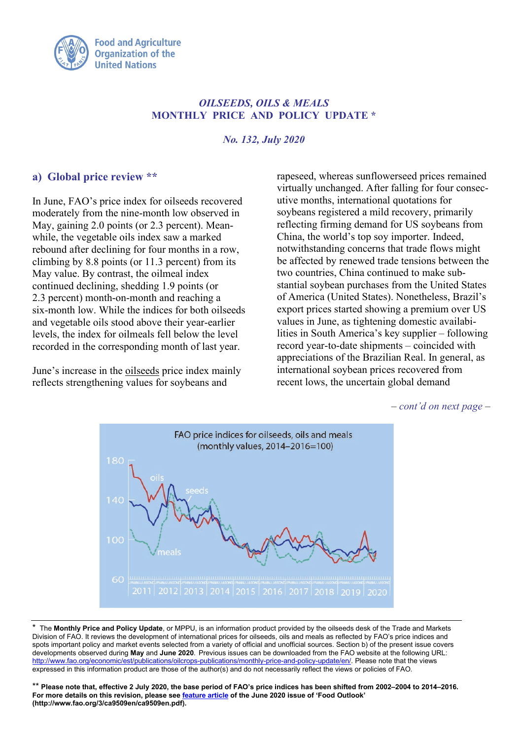

# *OILSEEDS, OILS & MEALS* **MONTHLY PRICE AND POLICY UPDATE \***

*No. 132, July 2020*

### **a) Global price review \*\***

In June, FAO's price index for oilseeds recovered moderately from the nine-month low observed in May, gaining 2.0 points (or 2.3 percent). Meanwhile, the vegetable oils index saw a marked rebound after declining for four months in a row, climbing by 8.8 points (or 11.3 percent) from its May value. By contrast, the oilmeal index continued declining, shedding 1.9 points (or 2.3 percent) month-on-month and reaching a six-month low. While the indices for both oilseeds and vegetable oils stood above their year-earlier levels, the index for oilmeals fell below the level recorded in the corresponding month of last year.

June's increase in the oilseeds price index mainly reflects strengthening values for soybeans and

rapeseed, whereas sunflowerseed prices remained virtually unchanged. After falling for four consecutive months, international quotations for soybeans registered a mild recovery, primarily reflecting firming demand for US soybeans from China, the world's top soy importer. Indeed, notwithstanding concerns that trade flows might be affected by renewed trade tensions between the two countries, China continued to make substantial soybean purchases from the United States of America (United States). Nonetheless, Brazil's export prices started showing a premium over US values in June, as tightening domestic availabilities in South America's key supplier – following record year-to-date shipments – coincided with appreciations of the Brazilian Real. In general, as international soybean prices recovered from recent lows, the uncertain global demand

*– cont'd on next page –* 



\* The **Monthly Price and Policy Update**, or MPPU, is an information product provided by the oilseeds desk of the Trade and Markets Division of FAO. It reviews the development of international prices for oilseeds, oils and meals as reflected by FAO's price indices and spots important policy and market events selected from a variety of official and unofficial sources. Section b) of the present issue covers developments observed during **May** and **June 2020**. Previous issues can be downloaded from the FAO website at the following URL: [http://www.fao.org/economic/est/publications/oilcrops-publications/monthly-price-and-policy-update/en/.](http://www.fao.org/economic/est/publications/oilcrops-publications/monthly-price-and-policy-update/en/) Please note that the views expressed in this information product are those of the author(s) and do not necessarily reflect the views or policies of FAO.

\*\* **Please note that, effective 2 July 2020, the base period of FAO's price indices has been shifted from 2002–2004 to 2014–2016. For more details on this revision, please se[e feature article](http://www.fao.org/3/ca9509en/ca9509en.pdf) of the June 2020 issue of 'Food Outlook' (http://www.fao.org/3/ca9509en/ca9509en.pdf).**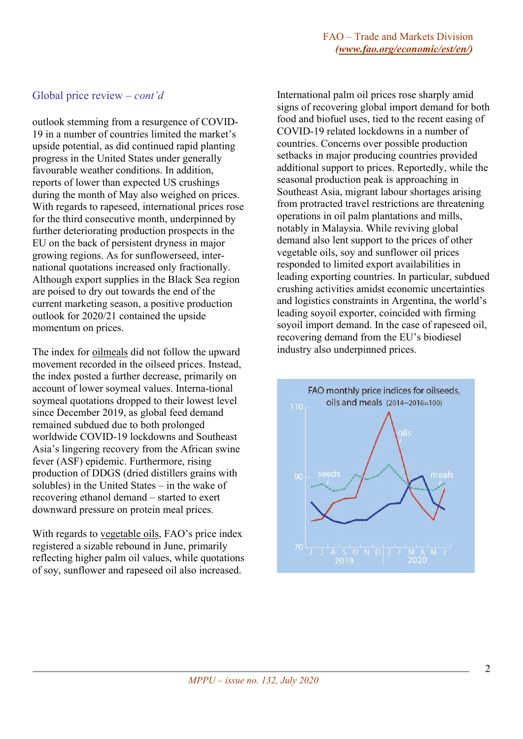#### Global price review *– cont'd*

outlook stemming from a resurgence of COVID-19 in a number of countries limited the market's upside potential, as did continued rapid planting progress in the United States under generally favourable weather conditions. In addition, reports of lower than expected US crushings during the month of May also weighed on prices. With regards to rapeseed, international prices rose for the third consecutive month, underpinned by further deteriorating production prospects in the EU on the back of persistent dryness in major growing regions. As for sunflowerseed, international quotations increased only fractionally. Although export supplies in the Black Sea region are poised to dry out towards the end of the current marketing season, a positive production outlook for 2020/21 contained the upside momentum on prices.

The index for oilmeals did not follow the upward movement recorded in the oilseed prices. Instead, the index posted a further decrease, primarily on account of lower soymeal values. Interna-tional soymeal quotations dropped to their lowest level since December 2019, as global feed demand remained subdued due to both prolonged worldwide COVID-19 lockdowns and Southeast Asia's lingering recovery from the African swine fever (ASF) epidemic. Furthermore, rising production of DDGS (dried distillers grains with solubles) in the United States – in the wake of recovering ethanol demand – started to exert downward pressure on protein meal prices.

With regards to vegetable oils, FAO's price index registered a sizable rebound in June, primarily reflecting higher palm oil values, while quotations of soy, sunflower and rapeseed oil also increased.

International palm oil prices rose sharply amid signs of recovering global import demand for both food and biofuel uses, tied to the recent easing of COVID-19 related lockdowns in a number of countries. Concerns over possible production setbacks in major producing countries provided additional support to prices. Reportedly, while the seasonal production peak is approaching in Southeast Asia, migrant labour shortages arising from protracted travel restrictions are threatening operations in oil palm plantations and mills, notably in Malaysia. While reviving global demand also lent support to the prices of other vegetable oils, soy and sunflower oil prices responded to limited export availabilities in leading exporting countries. In particular, subdued crushing activities amidst economic uncertainties and logistics constraints in Argentina, the world's leading soyoil exporter, coincided with firming soyoil import demand. In the case of rapeseed oil, recovering demand from the EU's biodiesel industry also underpinned prices.

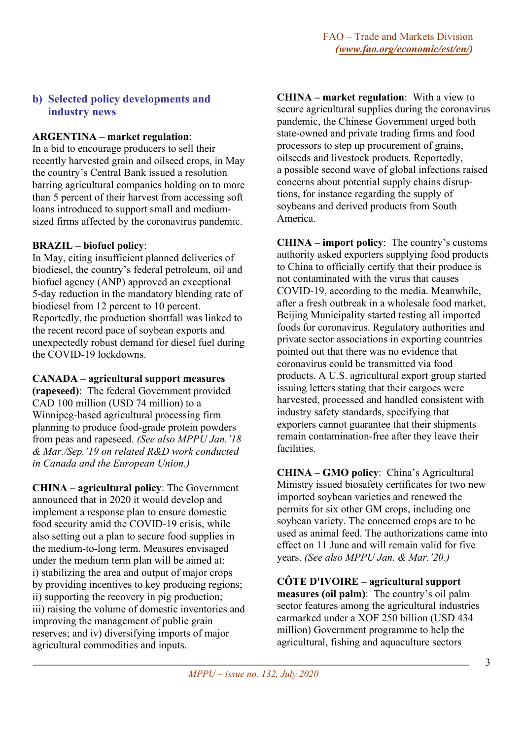# **b) Selected policy developments and industry news**

# **ARGENTINA – market regulation**:

In a bid to encourage producers to sell their recently harvested grain and oilseed crops, in May the country's Central Bank issued a resolution barring agricultural companies holding on to more than 5 percent of their harvest from accessing soft loans introduced to support small and mediumsized firms affected by the coronavirus pandemic.

# **BRAZIL – biofuel policy**:

In May, citing insufficient planned deliveries of biodiesel, the country's federal petroleum, oil and biofuel agency (ANP) approved an exceptional 5-day reduction in the mandatory blending rate of biodiesel from 12 percent to 10 percent. Reportedly, the production shortfall was linked to the recent record pace of soybean exports and unexpectedly robust demand for diesel fuel during the COVID-19 lockdowns.

**CANADA – agricultural support measures** 

**(rapeseed)**: The federal Government provided CAD 100 million (USD 74 million) to a Winnipeg-based agricultural processing firm planning to produce food-grade protein powders from peas and rapeseed. *(See also MPPU Jan.'18 & Mar./Sep.'19 on related R&D work conducted in Canada and the European Union.)*

**CHINA – agricultural policy**: The Government announced that in 2020 it would develop and implement a response plan to ensure domestic food security amid the COVID-19 crisis, while also setting out a plan to secure food supplies in the medium-to-long term. Measures envisaged under the medium term plan will be aimed at: i) stabilizing the area and output of major crops by providing incentives to key producing regions; ii) supporting the recovery in pig production; iii) raising the volume of domestic inventories and improving the management of public grain reserves; and iv) diversifying imports of major agricultural commodities and inputs.

**CHINA – market regulation**: With a view to secure agricultural supplies during the coronavirus pandemic, the Chinese Government urged both state-owned and private trading firms and food processors to step up procurement of grains, oilseeds and livestock products. Reportedly, a possible second wave of global infections raised concerns about potential supply chains disruptions, for instance regarding the supply of soybeans and derived products from South America.

**CHINA – import policy**: The country's customs authority asked exporters supplying food products to China to officially certify that their produce is not contaminated with the virus that causes COVID-19, according to the media. Meanwhile, after a fresh outbreak in a wholesale food market, Beijing Municipality started testing all imported foods for coronavirus. Regulatory authorities and private sector associations in exporting countries pointed out that there was no evidence that coronavirus could be transmitted via food products. A U.S. agricultural export group started issuing letters stating that their cargoes were harvested, processed and handled consistent with industry safety standards, specifying that exporters cannot guarantee that their shipments remain contamination-free after they leave their facilities.

**CHINA – GMO policy**: China's Agricultural Ministry issued biosafety certificates for two new imported soybean varieties and renewed the permits for six other GM crops, including one soybean variety. The concerned crops are to be used as animal feed. The authorizations came into effect on 11 June and will remain valid for five years. *(See also MPPU Jan. & Mar.'20.)*

**CÔTE D'IVOIRE – agricultural support measures (oil palm)**: The country's oil palm sector features among the agricultural industries earmarked under a XOF 250 billion (USD 434 million) Government programme to help the agricultural, fishing and aquaculture sectors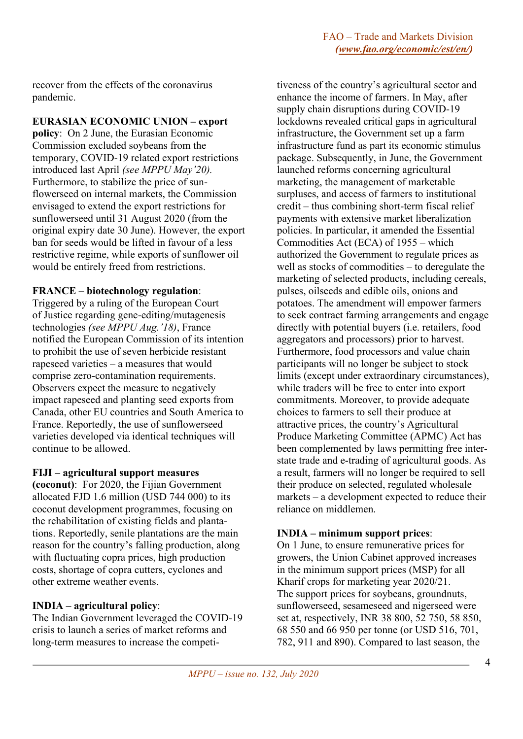recover from the effects of the coronavirus pandemic.

#### **EURASIAN ECONOMIC UNION – export**

**policy**: On 2 June, the Eurasian Economic Commission excluded soybeans from the temporary, COVID-19 related export restrictions introduced last April *(see MPPU May'20).* Furthermore, to stabilize the price of sunflowerseed on internal markets, the Commission envisaged to extend the export restrictions for sunflowerseed until 31 August 2020 (from the original expiry date 30 June). However, the export ban for seeds would be lifted in favour of a less restrictive regime, while exports of sunflower oil would be entirely freed from restrictions.

#### **FRANCE – biotechnology regulation**:

Triggered by a ruling of the European Court of Justice regarding gene-editing/mutagenesis technologies *(see MPPU Aug.'18)*, France notified the European Commission of its intention to prohibit the use of seven herbicide resistant rapeseed varieties – a measures that would comprise zero-contamination requirements. Observers expect the measure to negatively impact rapeseed and planting seed exports from Canada, other EU countries and South America to France. Reportedly, the use of sunflowerseed varieties developed via identical techniques will continue to be allowed.

### **FIJI – agricultural support measures**

**(coconut)**: For 2020, the Fijian Government allocated FJD 1.6 million (USD 744 000) to its coconut development programmes, focusing on the rehabilitation of existing fields and plantations. Reportedly, senile plantations are the main reason for the country's falling production, along with fluctuating copra prices, high production costs, shortage of copra cutters, cyclones and other extreme weather events.

### **INDIA – agricultural policy**:

The Indian Government leveraged the COVID-19 crisis to launch a series of market reforms and long-term measures to increase the competi-

tiveness of the country's agricultural sector and enhance the income of farmers. In May, after supply chain disruptions during COVID-19 lockdowns revealed critical gaps in agricultural infrastructure, the Government set up a farm infrastructure fund as part its economic stimulus package. Subsequently, in June, the Government launched reforms concerning agricultural marketing, the management of marketable surpluses, and access of farmers to institutional credit – thus combining short-term fiscal relief payments with extensive market liberalization policies. In particular, it amended the Essential Commodities Act (ECA) of 1955 – which authorized the Government to regulate prices as well as stocks of commodities – to deregulate the marketing of selected products, including cereals, pulses, oilseeds and edible oils, onions and potatoes. The amendment will empower farmers to seek contract farming arrangements and engage directly with potential buyers (i.e. retailers, food aggregators and processors) prior to harvest. Furthermore, food processors and value chain participants will no longer be subject to stock limits (except under extraordinary circumstances), while traders will be free to enter into export commitments. Moreover, to provide adequate choices to farmers to sell their produce at attractive prices, the country's Agricultural Produce Marketing Committee (APMC) Act has been complemented by laws permitting free interstate trade and e-trading of agricultural goods. As a result, farmers will no longer be required to sell their produce on selected, regulated wholesale markets – a development expected to reduce their reliance on middlemen.

### **INDIA – minimum support prices**:

On 1 June, to ensure remunerative prices for growers, the Union Cabinet approved increases in the minimum support prices (MSP) for all Kharif crops for marketing year 2020/21. The support prices for soybeans, groundnuts, sunflowerseed, sesameseed and nigerseed were set at, respectively, INR 38 800, 52 750, 58 850, 68 550 and 66 950 per tonne (or USD 516, 701, 782, 911 and 890). Compared to last season, the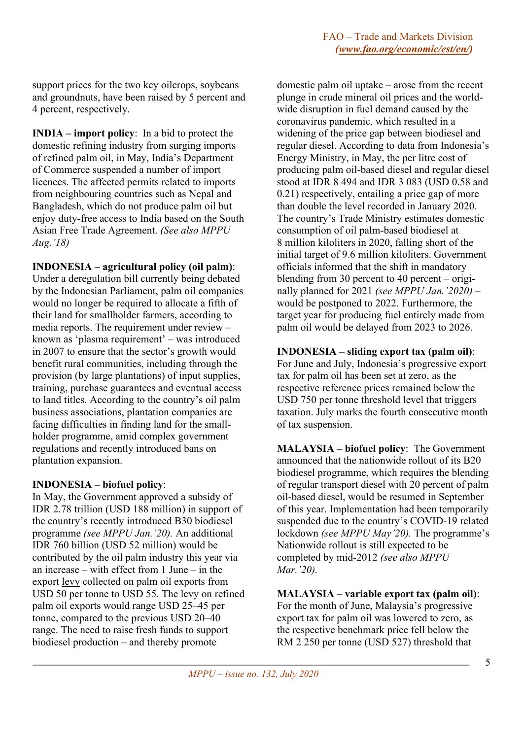support prices for the two key oilcrops, soybeans and groundnuts, have been raised by 5 percent and 4 percent, respectively.

**INDIA – import policy**: In a bid to protect the domestic refining industry from surging imports of refined palm oil, in May, India's Department of Commerce suspended a number of import licences. The affected permits related to imports from neighbouring countries such as Nepal and Bangladesh, which do not produce palm oil but enjoy duty-free access to India based on the South Asian Free Trade Agreement. *(See also MPPU Aug.'18)*

**INDONESIA – agricultural policy (oil palm)**:

Under a deregulation bill currently being debated by the Indonesian Parliament, palm oil companies would no longer be required to allocate a fifth of their land for smallholder farmers, according to media reports. The requirement under review – known as 'plasma requirement' – was introduced in 2007 to ensure that the sector's growth would benefit rural communities, including through the provision (by large plantations) of input supplies, training, purchase guarantees and eventual access to land titles. According to the country's oil palm business associations, plantation companies are facing difficulties in finding land for the smallholder programme, amid complex government regulations and recently introduced bans on plantation expansion.

### **INDONESIA – biofuel policy**:

In May, the Government approved a subsidy of IDR 2.78 trillion (USD 188 million) in support of the country's recently introduced B30 biodiesel programme *(see MPPU Jan.'20).* An additional IDR 760 billion (USD 52 million) would be contributed by the oil palm industry this year via an increase – with effect from 1 June – in the export levy collected on palm oil exports from USD 50 per tonne to USD 55. The levy on refined palm oil exports would range USD 25–45 per tonne, compared to the previous USD 20–40 range. The need to raise fresh funds to support biodiesel production – and thereby promote

domestic palm oil uptake – arose from the recent plunge in crude mineral oil prices and the worldwide disruption in fuel demand caused by the coronavirus pandemic, which resulted in a widening of the price gap between biodiesel and regular diesel. According to data from Indonesia's Energy Ministry, in May, the per litre cost of producing palm oil-based diesel and regular diesel stood at IDR 8 494 and IDR 3 083 (USD 0.58 and 0.21) respectively, entailing a price gap of more than double the level recorded in January 2020. The country's Trade Ministry estimates domestic consumption of oil palm-based biodiesel at 8 million kiloliters in 2020, falling short of the initial target of 9.6 million kiloliters. Government officials informed that the shift in mandatory blending from 30 percent to 40 percent – originally planned for 2021 *(see MPPU Jan.'2020)* – would be postponed to 2022. Furthermore, the target year for producing fuel entirely made from palm oil would be delayed from 2023 to 2026.

# **INDONESIA – sliding export tax (palm oil)**:

For June and July, Indonesia's progressive export tax for palm oil has been set at zero, as the respective reference prices remained below the USD 750 per tonne threshold level that triggers taxation. July marks the fourth consecutive month of tax suspension.

**MALAYSIA – biofuel policy**: The Government announced that the nationwide rollout of its B20 biodiesel programme, which requires the blending of regular transport diesel with 20 percent of palm oil-based diesel, would be resumed in September of this year. Implementation had been temporarily suspended due to the country's COVID-19 related lockdown *(see MPPU May'20).* The programme's Nationwide rollout is still expected to be completed by mid-2012 *(see also MPPU Mar.'20).*

# **MALAYSIA – variable export tax (palm oil)**:

For the month of June, Malaysia's progressive export tax for palm oil was lowered to zero, as the respective benchmark price fell below the RM 2 250 per tonne (USD 527) threshold that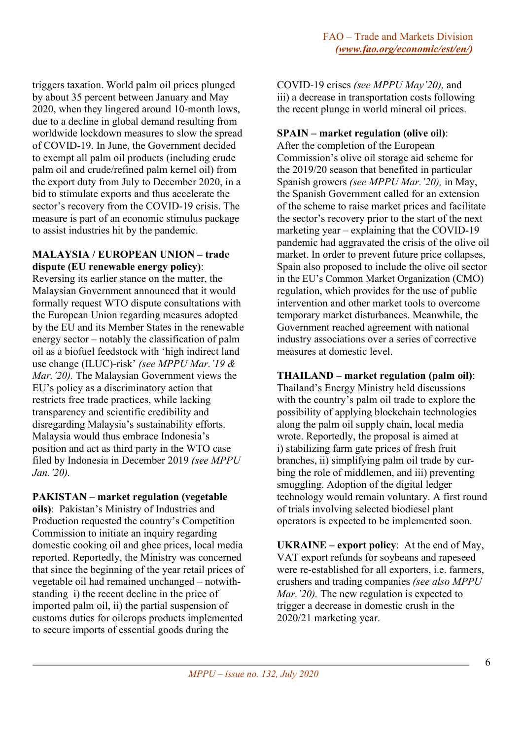triggers taxation. World palm oil prices plunged by about 35 percent between January and May 2020, when they lingered around 10-month lows, due to a decline in global demand resulting from worldwide lockdown measures to slow the spread of COVID-19. In June, the Government decided to exempt all palm oil products (including crude palm oil and crude/refined palm kernel oil) from the export duty from July to December 2020, in a bid to stimulate exports and thus accelerate the sector's recovery from the COVID-19 crisis. The measure is part of an economic stimulus package to assist industries hit by the pandemic.

#### **MALAYSIA / EUROPEAN UNION – trade dispute (EU renewable energy policy)**:

Reversing its earlier stance on the matter, the Malaysian Government announced that it would formally request WTO dispute consultations with the European Union regarding measures adopted by the EU and its Member States in the renewable energy sector – notably the classification of palm oil as a biofuel feedstock with 'high indirect land use change (ILUC)-risk' *(see MPPU Mar.'19 & Mar.'20).* The Malaysian Government views the EU's policy as a discriminatory action that restricts free trade practices, while lacking transparency and scientific credibility and disregarding Malaysia's sustainability efforts. Malaysia would thus embrace Indonesia's position and act as third party in the WTO case filed by Indonesia in December 2019 *(see MPPU Jan.'20).*

### **PAKISTAN – market regulation (vegetable**

**oils)**: Pakistan's Ministry of Industries and Production requested the country's Competition Commission to initiate an inquiry regarding domestic cooking oil and ghee prices, local media reported. Reportedly, the Ministry was concerned that since the beginning of the year retail prices of vegetable oil had remained unchanged – notwithstanding i) the recent decline in the price of imported palm oil, ii) the partial suspension of customs duties for oilcrops products implemented to secure imports of essential goods during the

COVID-19 crises *(see MPPU May'20),* and iii) a decrease in transportation costs following the recent plunge in world mineral oil prices.

### **SPAIN – market regulation (olive oil)**:

After the completion of the European Commission's olive oil storage aid scheme for the 2019/20 season that benefited in particular Spanish growers *(see MPPU Mar.'20),* in May, the Spanish Government called for an extension of the scheme to raise market prices and facilitate the sector's recovery prior to the start of the next marketing year – explaining that the COVID-19 pandemic had aggravated the crisis of the olive oil market. In order to prevent future price collapses, Spain also proposed to include the olive oil sector in the EU's Common Market Organization (CMO) regulation, which provides for the use of public intervention and other market tools to overcome temporary market disturbances. Meanwhile, the Government reached agreement with national industry associations over a series of corrective measures at domestic level.

# **THAILAND – market regulation (palm oil)**:

Thailand's Energy Ministry held discussions with the country's palm oil trade to explore the possibility of applying blockchain technologies along the palm oil supply chain, local media wrote. Reportedly, the proposal is aimed at i) stabilizing farm gate prices of fresh fruit branches, ii) simplifying palm oil trade by curbing the role of middlemen, and iii) preventing smuggling. Adoption of the digital ledger technology would remain voluntary. A first round of trials involving selected biodiesel plant operators is expected to be implemented soon.

**UKRAINE – export policy**: At the end of May, VAT export refunds for soybeans and rapeseed were re-established for all exporters, i.e. farmers, crushers and trading companies *(see also MPPU Mar.* '20). The new regulation is expected to trigger a decrease in domestic crush in the 2020/21 marketing year.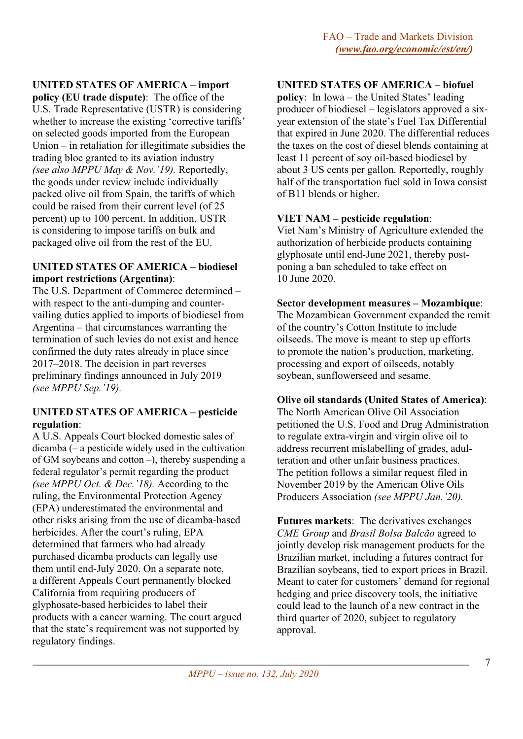# **UNITED STATES OF AMERICA – import**

**policy (EU trade dispute)**: The office of the U.S. Trade Representative (USTR) is considering whether to increase the existing 'corrective tariffs' on selected goods imported from the European Union – in retaliation for illegitimate subsidies the trading bloc granted to its aviation industry *(see also MPPU May & Nov.'19).* Reportedly, the goods under review include individually packed olive oil from Spain, the tariffs of which could be raised from their current level (of 25 percent) up to 100 percent. In addition, USTR is considering to impose tariffs on bulk and packaged olive oil from the rest of the EU.

### **UNITED STATES OF AMERICA – biodiesel import restrictions (Argentina)**:

The U.S. Department of Commerce determined – with respect to the anti-dumping and countervailing duties applied to imports of biodiesel from Argentina – that circumstances warranting the termination of such levies do not exist and hence confirmed the duty rates already in place since 2017–2018. The decision in part reverses preliminary findings announced in July 2019 *(see MPPU Sep.'19).* 

# **UNITED STATES OF AMERICA – pesticide regulation**:

A U.S. Appeals Court blocked domestic sales of dicamba (– a pesticide widely used in the cultivation of GM soybeans and cotton –), thereby suspending a federal regulator's permit regarding the product *(see MPPU Oct. & Dec.'18).* According to the ruling, the Environmental Protection Agency (EPA) underestimated the environmental and other risks arising from the use of dicamba-based herbicides. After the court's ruling, EPA determined that farmers who had already purchased dicamba products can legally use them until end-July 2020. On a separate note, a different Appeals Court permanently blocked California from requiring producers of glyphosate-based herbicides to label their products with a cancer warning. The court argued that the state's requirement was not supported by regulatory findings.

# **UNITED STATES OF AMERICA – biofuel**

**policy**: In Iowa – the United States' leading producer of biodiesel – legislators approved a sixyear extension of the state's Fuel Tax Differential that expired in June 2020. The differential reduces the taxes on the cost of diesel blends containing at least 11 percent of soy oil-based biodiesel by about 3 US cents per gallon. Reportedly, roughly half of the transportation fuel sold in Iowa consist of B11 blends or higher.

# **VIET NAM – pesticide regulation**:

Viet Nam's Ministry of Agriculture extended the authorization of herbicide products containing glyphosate until end-June 2021, thereby postponing a ban scheduled to take effect on 10 June 2020.

# **Sector development measures – Mozambique**:

The Mozambican Government expanded the remit of the country's Cotton Institute to include oilseeds. The move is meant to step up efforts to promote the nation's production, marketing, processing and export of oilseeds, notably soybean, sunflowerseed and sesame.

# **Olive oil standards (United States of America)**:

The North American Olive Oil Association petitioned the U.S. Food and Drug Administration to regulate extra-virgin and virgin olive oil to address recurrent mislabelling of grades, adulteration and other unfair business practices. The petition follows a similar request filed in November 2019 by the American Olive Oils Producers Association *(see MPPU Jan.'20).*

**Futures markets**: The derivatives exchanges *CME Group* and *Brasil Bolsa Balcão* agreed to jointly develop risk management products for the Brazilian market, including a futures contract for Brazilian soybeans, tied to export prices in Brazil. Meant to cater for customers' demand for regional hedging and price discovery tools, the initiative could lead to the launch of a new contract in the third quarter of 2020, subject to regulatory approval.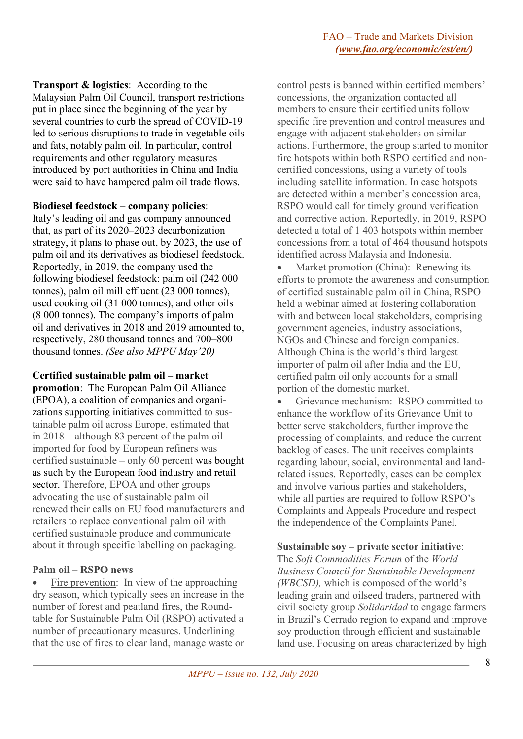**Transport & logistics**: According to the Malaysian Palm Oil Council, transport restrictions put in place since the beginning of the year by several countries to curb the spread of COVID-19 led to serious disruptions to trade in vegetable oils and fats, notably palm oil. In particular, control requirements and other regulatory measures introduced by port authorities in China and India were said to have hampered palm oil trade flows.

#### **Biodiesel feedstock – company policies**:

Italy's leading oil and gas company announced that, as part of its 2020–2023 decarbonization strategy, it plans to phase out, by 2023, the use of palm oil and its derivatives as biodiesel feedstock. Reportedly, in 2019, the company used the following biodiesel feedstock: palm oil (242 000 tonnes), palm oil mill effluent (23 000 tonnes), used cooking oil (31 000 tonnes), and other oils (8 000 tonnes). The company's imports of palm oil and derivatives in 2018 and 2019 amounted to, respectively, 280 thousand tonnes and 700–800 thousand tonnes. *(See also MPPU May'20)*

**Certified sustainable palm oil – market promotion**: The European Palm Oil Alliance (EPOA), a coalition of companies and organizations supporting initiatives committed to sustainable palm oil across Europe, estimated that in 2018 – although 83 percent of the palm oil imported for food by European refiners was certified sustainable – only 60 percent was bought as such by the European food industry and retail sector. Therefore, EPOA and other groups advocating the use of sustainable palm oil renewed their calls on EU food manufacturers and retailers to replace conventional palm oil with certified sustainable produce and communicate about it through specific labelling on packaging.

### **Palm oil – RSPO news**

Fire prevention: In view of the approaching dry season, which typically sees an increase in the number of forest and peatland fires, the Roundtable for Sustainable Palm Oil (RSPO) activated a number of precautionary measures. Underlining that the use of fires to clear land, manage waste or

control pests is banned within certified members' concessions, the organization contacted all members to ensure their certified units follow specific fire prevention and control measures and engage with adjacent stakeholders on similar actions. Furthermore, the group started to monitor fire hotspots within both RSPO certified and noncertified concessions, using a variety of tools including satellite information. In case hotspots are detected within a member's concession area, RSPO would call for timely ground verification and corrective action. Reportedly, in 2019, RSPO detected a total of 1 403 hotspots within member concessions from a total of 464 thousand hotspots identified across Malaysia and Indonesia.

Market promotion (China): Renewing its efforts to promote the awareness and consumption of certified sustainable palm oil in China, RSPO held a webinar aimed at fostering collaboration with and between local stakeholders, comprising government agencies, industry associations, NGOs and Chinese and foreign companies. Although China is the world's third largest importer of palm oil after India and the EU, certified palm oil only accounts for a small portion of the domestic market.

• Grievance mechanism: RSPO committed to enhance the workflow of its Grievance Unit to better serve stakeholders, further improve the processing of complaints, and reduce the current backlog of cases. The unit receives complaints regarding labour, social, environmental and landrelated issues. Reportedly, cases can be complex and involve various parties and stakeholders, while all parties are required to follow RSPO's Complaints and Appeals Procedure and respect the independence of the Complaints Panel.

### **Sustainable soy – private sector initiative**:

The *Soft Commodities Forum* of the *World Business Council for Sustainable Development (WBCSD),* which is composed of the world's leading grain and oilseed traders, partnered with civil society group *Solidaridad* to engage farmers in Brazil's Cerrado region to expand and improve soy production through efficient and sustainable land use. Focusing on areas characterized by high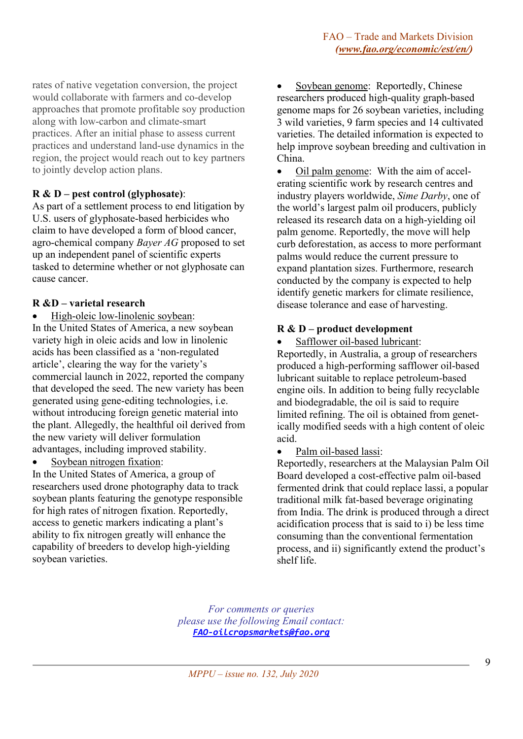rates of native vegetation conversion, the project would collaborate with farmers and co-develop approaches that promote profitable soy production along with low-carbon and climate-smart practices. After an initial phase to assess current practices and understand land-use dynamics in the region, the project would reach out to key partners to jointly develop action plans.

# **R & D – pest control (glyphosate)**:

As part of a settlement process to end litigation by U.S. users of glyphosate-based herbicides who claim to have developed a form of blood cancer, agro-chemical company *Bayer AG* proposed to set up an independent panel of scientific experts tasked to determine whether or not glyphosate can cause cancer.

# **R &D – varietal research**

• High-oleic low-linolenic soybean:

In the United States of America, a new soybean variety high in oleic acids and low in linolenic acids has been classified as a 'non-regulated article', clearing the way for the variety's commercial launch in 2022, reported the company that developed the seed. The new variety has been generated using gene-editing technologies, i.e. without introducing foreign genetic material into the plant. Allegedly, the healthful oil derived from the new variety will deliver formulation advantages, including improved stability.

Soybean nitrogen fixation:

In the United States of America, a group of researchers used drone photography data to track soybean plants featuring the genotype responsible for high rates of nitrogen fixation. Reportedly, access to genetic markers indicating a plant's ability to fix nitrogen greatly will enhance the capability of breeders to develop high-yielding soybean varieties.

Soybean genome: Reportedly, Chinese researchers produced high-quality graph-based genome maps for 26 soybean varieties, including 3 wild varieties, 9 farm species and 14 cultivated varieties. The detailed information is expected to help improve soybean breeding and cultivation in China.

• Oil palm genome: With the aim of accelerating scientific work by research centres and industry players worldwide, *Sime Darby*, one of the world's largest palm oil producers, publicly released its research data on a high-yielding oil palm genome. Reportedly, the move will help curb deforestation, as access to more performant palms would reduce the current pressure to expand plantation sizes. Furthermore, research conducted by the company is expected to help identify genetic markers for climate resilience, disease tolerance and ease of harvesting.

# **R & D – product development**

• Safflower oil-based lubricant:

Reportedly, in Australia, a group of researchers produced a high-performing safflower oil-based lubricant suitable to replace petroleum-based engine oils. In addition to being fully recyclable and biodegradable, the oil is said to require limited refining. The oil is obtained from genetically modified seeds with a high content of oleic acid.

Palm oil-based lassi:

Reportedly, researchers at the Malaysian Palm Oil Board developed a cost-effective palm oil-based fermented drink that could replace lassi, a popular traditional milk fat-based beverage originating from India. The drink is produced through a direct acidification process that is said to i) be less time consuming than the conventional fermentation process, and ii) significantly extend the product's shelf life.

*For comments or queries please use the following Email contact: [FAO-oilcropsmarkets@fao.org](mailto:FAO-oilcropsmarkets@fao.org)*